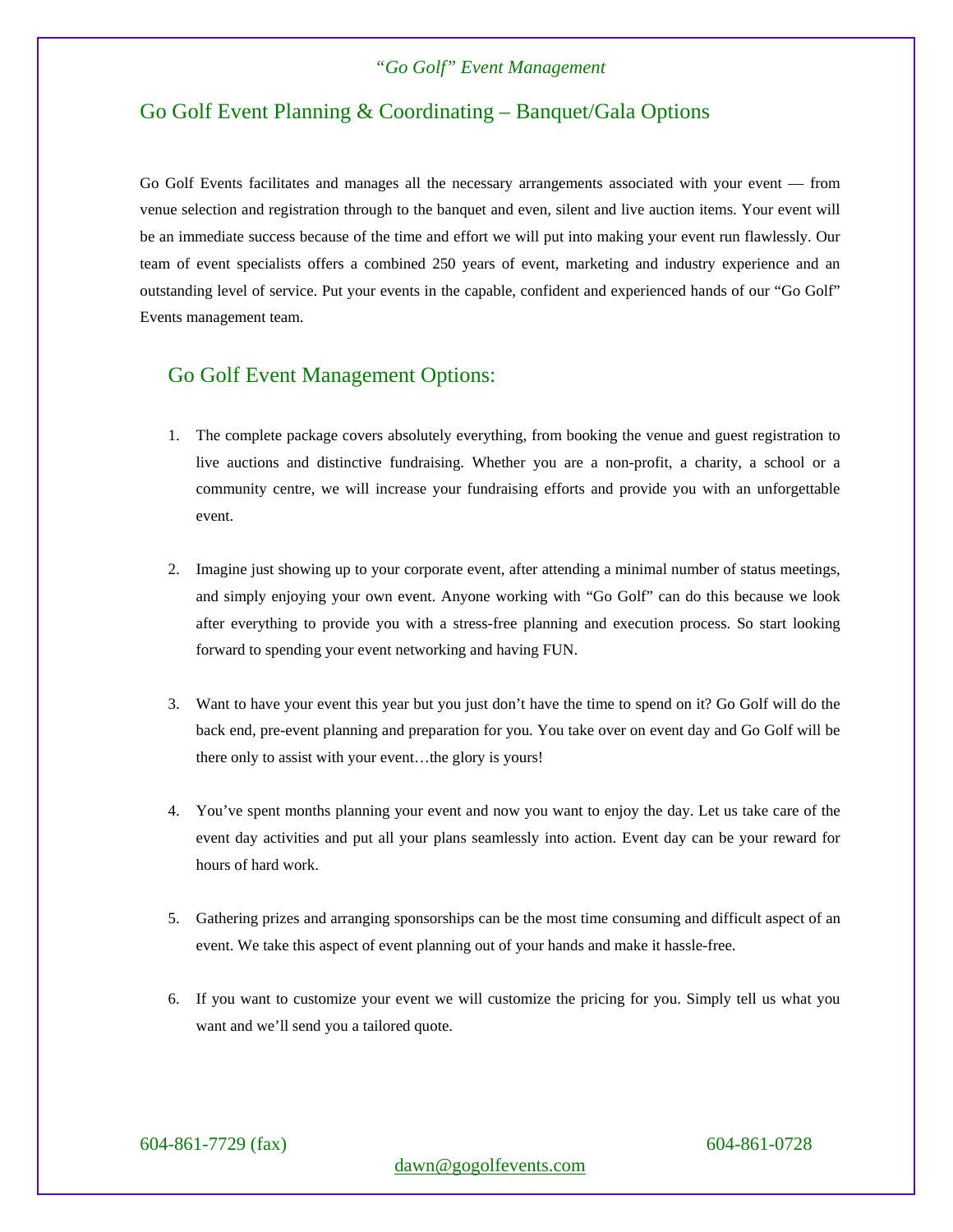## Go Golf Event Planning & Coordinating – Banquet/Gala Options

Go Golf Events facilitates and manages all the necessary arrangements associated with your event — from venue selection and registration through to the banquet and even, silent and live auction items. Your event will be an immediate success because of the time and effort we will put into making your event run flawlessly. Our team of event specialists offers a combined 250 years of event, marketing and industry experience and an outstanding level of service. Put your events in the capable, confident and experienced hands of our "Go Golf" Events management team.

### Go Golf Event Management Options:

- 1. The complete package covers absolutely everything, from booking the venue and guest registration to live auctions and distinctive fundraising. Whether you are a non-profit, a charity, a school or a community centre, we will increase your fundraising efforts and provide you with an unforgettable event.
- 2. Imagine just showing up to your corporate event, after attending a minimal number of status meetings, and simply enjoying your own event. Anyone working with "Go Golf" can do this because we look after everything to provide you with a stress-free planning and execution process. So start looking forward to spending your event networking and having FUN.
- 3. Want to have your event this year but you just don't have the time to spend on it? Go Golf will do the back end, pre-event planning and preparation for you. You take over on event day and Go Golf will be there only to assist with your event…the glory is yours!
- 4. You've spent months planning your event and now you want to enjoy the day. Let us take care of the event day activities and put all your plans seamlessly into action. Event day can be your reward for hours of hard work.
- 5. Gathering prizes and arranging sponsorships can be the most time consuming and difficult aspect of an event. We take this aspect of event planning out of your hands and make it hassle-free.
- 6. If you want to customize your event we will customize the pricing for you. Simply tell us what you want and we'll send you a tailored quote.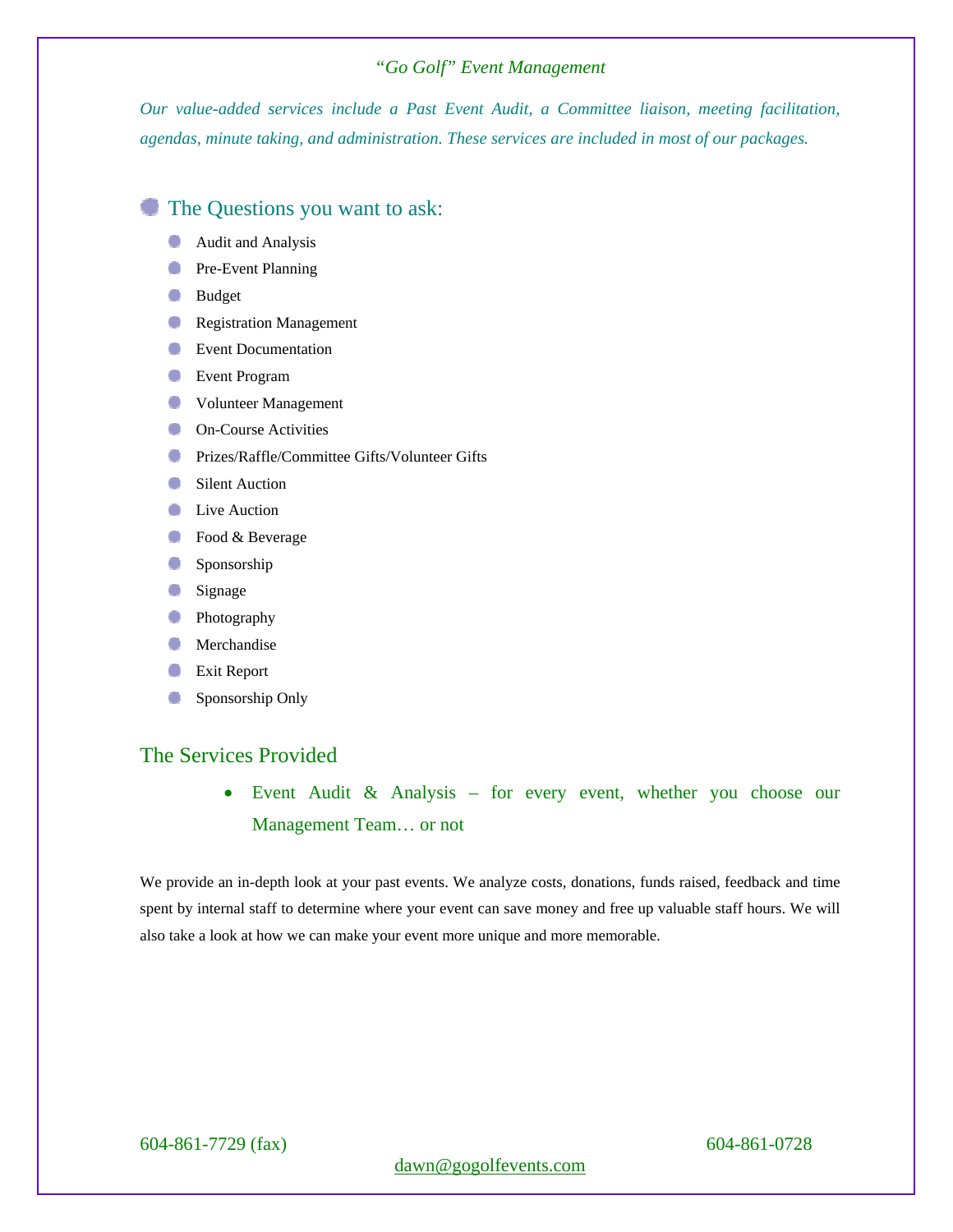*Our value-added services include a Past Event Audit, a Committee liaison, meeting facilitation, agendas, minute taking, and administration. These services are included in most of our packages.* 

## The Questions you want to ask:

- Audit and Analysis ۰
- **Pre-Event Planning**
- **Budget**
- **Registration Management**
- **Event Documentation**
- **Event Program**
- Volunteer Management
- **On-Course Activities**
- **Prizes/Raffle/Committee Gifts/Volunteer Gifts**
- Silent Auction
- **Live Auction**
- Food & Beverage
- Sponsorship
- Signage
- **Photography**
- Merchandise ۰
- Ο Exit Report
- Sponsorship Only o

# The Services Provided

 Event Audit & Analysis – for every event, whether you choose our Management Team… or not

We provide an in-depth look at your past events. We analyze costs, donations, funds raised, feedback and time spent by internal staff to determine where your event can save money and free up valuable staff hours. We will also take a look at how we can make your event more unique and more memorable.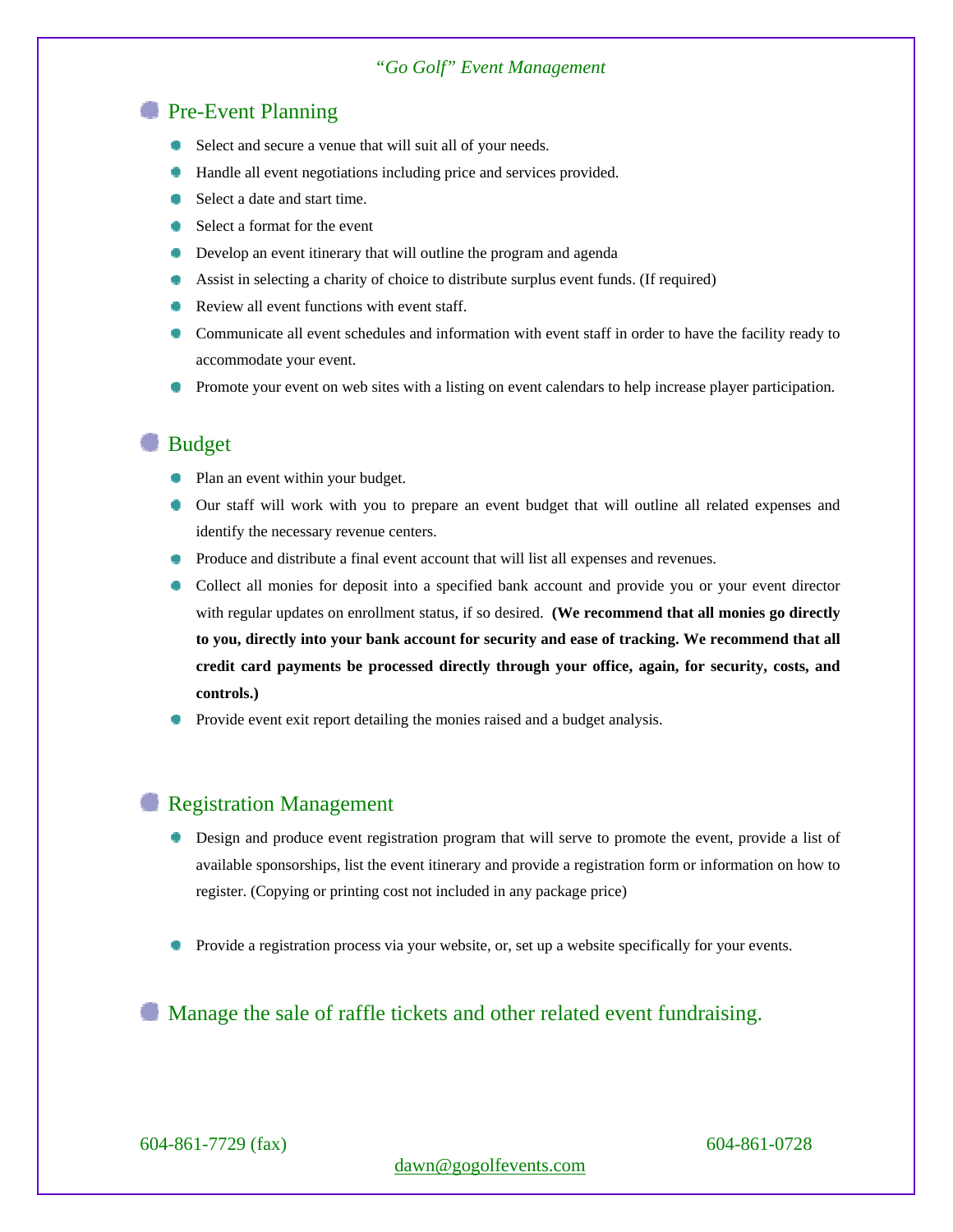### **Pre-Event Planning**

- Select and secure a venue that will suit all of your needs.
- Handle all event negotiations including price and services provided.
- Select a date and start time.
- Select a format for the event
- **•** Develop an event itinerary that will outline the program and agenda
- Assist in selecting a charity of choice to distribute surplus event funds. (If required)
- Review all event functions with event staff.
- Communicate all event schedules and information with event staff in order to have the facility ready to accommodate your event.
- **Promote your event on web sites with a listing on event calendars to help increase player participation.**

## **Budget**

- Plan an event within your budget.
- Our staff will work with you to prepare an event budget that will outline all related expenses and identify the necessary revenue centers.
- **Produce and distribute a final event account that will list all expenses and revenues.**
- Collect all monies for deposit into a specified bank account and provide you or your event director with regular updates on enrollment status, if so desired. **(We recommend that all monies go directly to you, directly into your bank account for security and ease of tracking. We recommend that all credit card payments be processed directly through your office, again, for security, costs, and controls.)**
- Provide event exit report detailing the monies raised and a budget analysis.

### **Registration Management**

- Design and produce event registration program that will serve to promote the event, provide a list of available sponsorships, list the event itinerary and provide a registration form or information on how to register. (Copying or printing cost not included in any package price)
- Provide a registration process via your website, or, set up a website specifically for your events.

### Manage the sale of raffle tickets and other related event fundraising.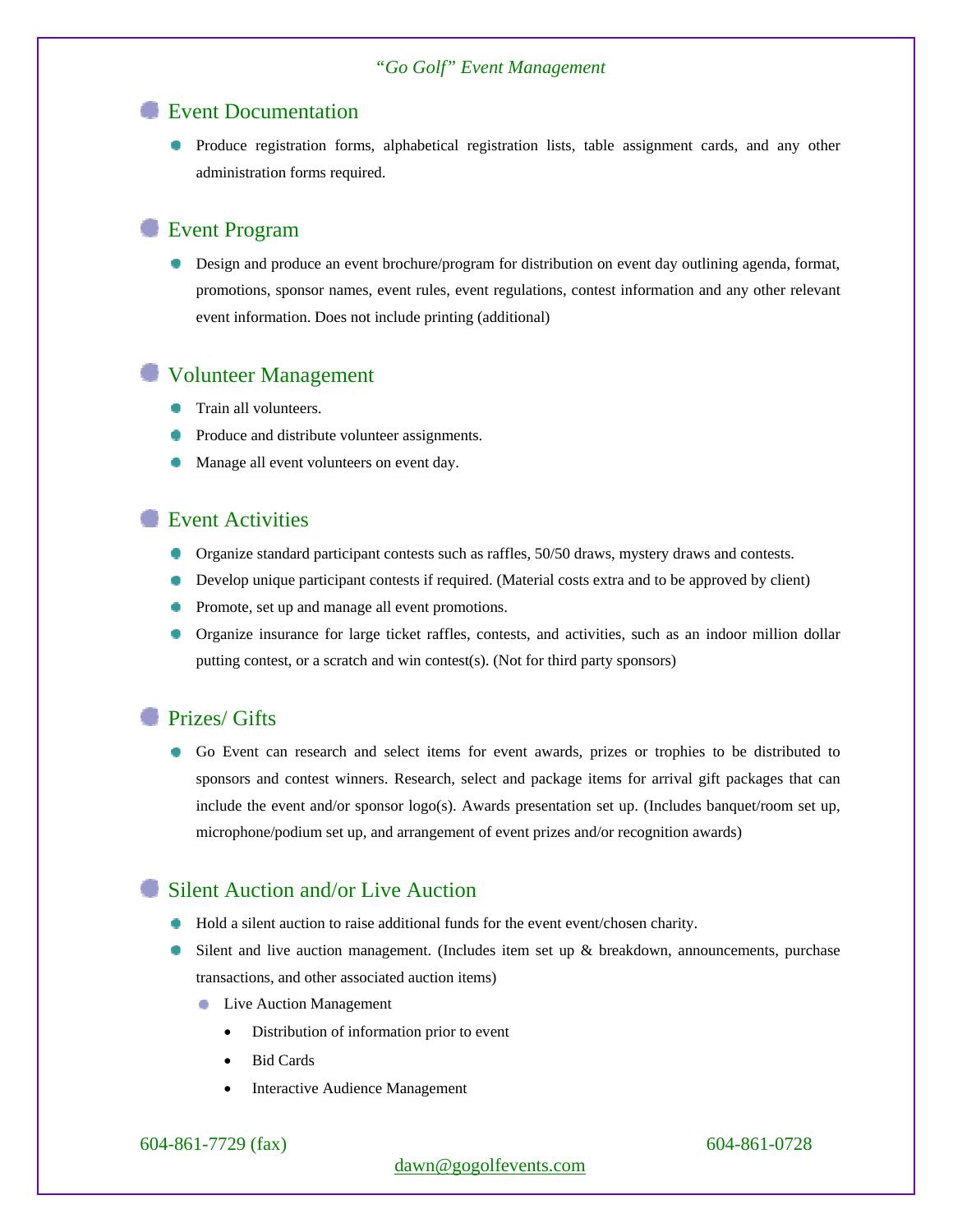### **Event Documentation**

**Produce registration forms, alphabetical registration lists, table assignment cards, and any other** administration forms required.

## Event Program

**Design and produce an event brochure/program for distribution on event day outlining agenda, format,** promotions, sponsor names, event rules, event regulations, contest information and any other relevant event information. Does not include printing (additional)

### Volunteer Management

- **Train all volunteers.**
- Produce and distribute volunteer assignments.
- Manage all event volunteers on event day.

## **Event Activities**

- Organize standard participant contests such as raffles, 50/50 draws, mystery draws and contests.
- Develop unique participant contests if required. (Material costs extra and to be approved by client)
- Promote, set up and manage all event promotions.
- Organize insurance for large ticket raffles, contests, and activities, such as an indoor million dollar putting contest, or a scratch and win contest(s). (Not for third party sponsors)

### **Prizes/ Gifts**

Go Event can research and select items for event awards, prizes or trophies to be distributed to sponsors and contest winners. Research, select and package items for arrival gift packages that can include the event and/or sponsor logo(s). Awards presentation set up. (Includes banquet/room set up, microphone/podium set up, and arrangement of event prizes and/or recognition awards)

### Silent Auction and/or Live Auction

- Hold a silent auction to raise additional funds for the event event/chosen charity.
- Silent and live auction management. (Includes item set up & breakdown, announcements, purchase transactions, and other associated auction items)
	- Live Auction Management ۰
		- Distribution of information prior to event
		- Bid Cards
		- Interactive Audience Management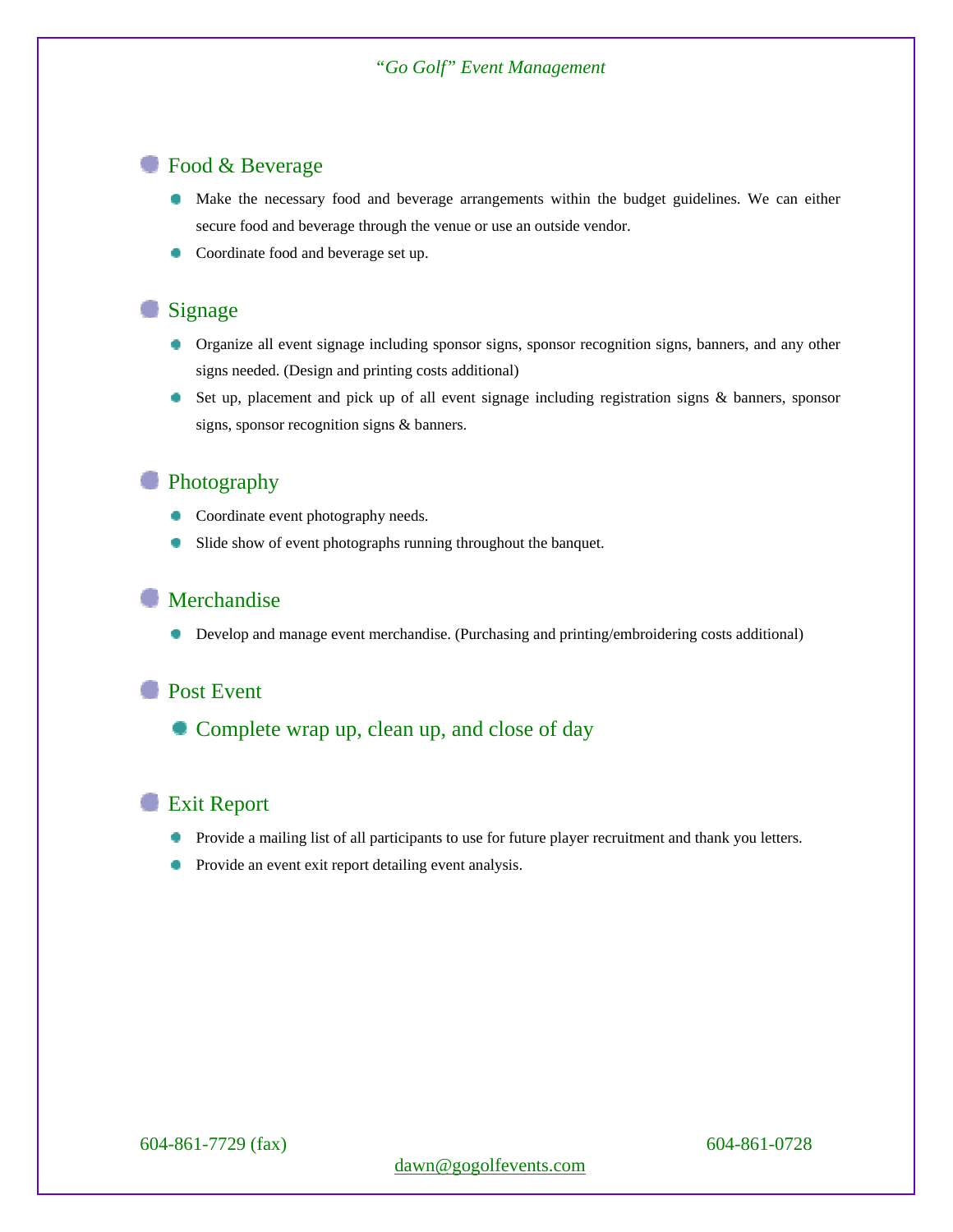# Food & Beverage

- Make the necessary food and beverage arrangements within the budget guidelines. We can either secure food and beverage through the venue or use an outside vendor.
- Coordinate food and beverage set up.

# Signage

- Organize all event signage including sponsor signs, sponsor recognition signs, banners, and any other signs needed. (Design and printing costs additional)
- Set up, placement and pick up of all event signage including registration signs & banners, sponsor signs, sponsor recognition signs & banners.

## **Photography**

- **Coordinate event photography needs.**
- Slide show of event photographs running throughout the banquet. ۰

## Merchandise

Develop and manage event merchandise. (Purchasing and printing/embroidering costs additional)

### **Post Event**

Complete wrap up, clean up, and close of day

### **Exit Report**

- **Provide a mailing list of all participants to use for future player recruitment and thank you letters.**
- Provide an event exit report detailing event analysis.